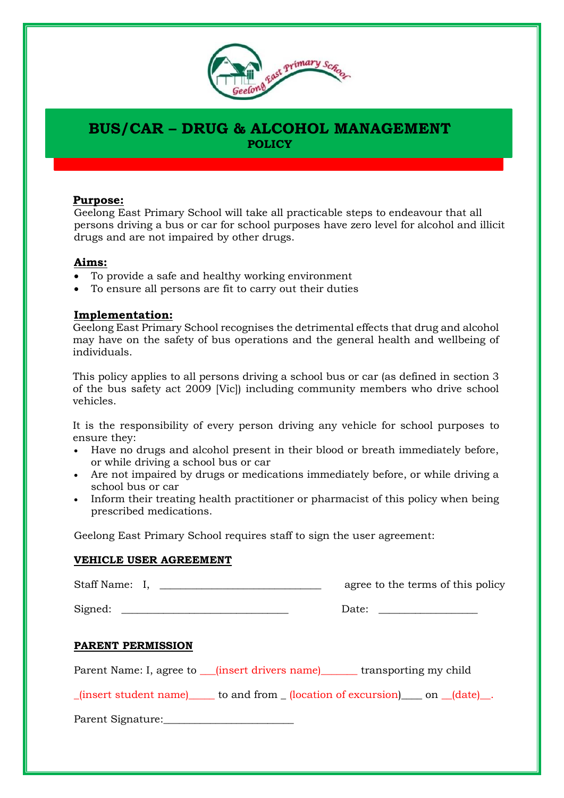

# **BUS/CAR – DRUG & ALCOHOL MANAGEMENT POLICY**

### **Purpose:**

Geelong East Primary School will take all practicable steps to endeavour that all persons driving a bus or car for school purposes have zero level for alcohol and illicit drugs and are not impaired by other drugs.

### **Aims:**

- To provide a safe and healthy working environment
- To ensure all persons are fit to carry out their duties

### **Implementation:**

Geelong East Primary School recognises the detrimental effects that drug and alcohol may have on the safety of bus operations and the general health and wellbeing of individuals.

This policy applies to all persons driving a school bus or car (as defined in section 3 of the bus safety act 2009 [Vic]) including community members who drive school vehicles.

It is the responsibility of every person driving any vehicle for school purposes to ensure they:

- Have no drugs and alcohol present in their blood or breath immediately before, or while driving a school bus or car
- Are not impaired by drugs or medications immediately before, or while driving a school bus or car
- Inform their treating health practitioner or pharmacist of this policy when being prescribed medications.

Geelong East Primary School requires staff to sign the user agreement:

#### **VEHICLE USER AGREEMENT**

|                                                                                                                              | agree to the terms of this policy |
|------------------------------------------------------------------------------------------------------------------------------|-----------------------------------|
|                                                                                                                              |                                   |
| <b>PARENT PERMISSION</b>                                                                                                     |                                   |
| Parent Name: I, agree to <u>[insert drivers name]</u> transporting my child                                                  |                                   |
| $_{\text{r}}$ (insert student name) $_{\text{r}}$ to and from $_{\text{r}}$ (location of excursion) on $_{\text{r}}$ (date). |                                   |
| Parent Signature: 2008                                                                                                       |                                   |